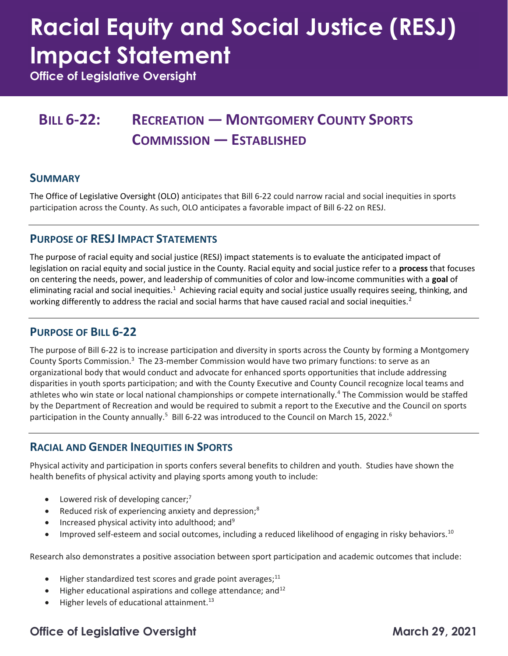# Racial Equity and Social Justice (RESJ) Impact Statement

Office of Legislative Oversight

### BILL 6-22: RECREATION — MONTGOMERY COUNTY SPORTS COMMISSION — ESTABLISHED

#### **SUMMARY**

 The Office of Legislative Oversight (OLO) anticipates that Bill 6-22 could narrow racial and social inequities in sports participation across the County. As such, OLO anticipates a favorable impact of Bill 6-22 on RESJ.

#### PURPOSE OF RESJ IMPACT STATEMENTS

 The purpose of racial equity and social justice (RESJ) impact statements is to evaluate the anticipated impact of legislation on racial equity and social justice in the County. Racial equity and social justice refer to a process that focuses on centering the needs, power, and leadership of communities of color and low-income communities with a goal of eliminating racial and social inequities.<sup>1</sup> Achieving racial equity and social justice usually requires seeing, thinking, and working differently to address the racial and social harms that have caused racial and social inequities.<sup>2</sup>

#### PURPOSE OF BILL 6-22

 The purpose of Bill 6-22 is to increase participation and diversity in sports across the County by forming a Montgomery County Sports Commission.<sup>3</sup> The 23-member Commission would have two primary functions: to serve as an organizational body that would conduct and advocate for enhanced sports opportunities that include addressing disparities in youth sports participation; and with the County Executive and County Council recognize local teams and athletes who win state or local national championships or compete internationally.<sup>4</sup> The Commission would be staffed by the Department of Recreation and would be required to submit a report to the Executive and the Council on sports participation in the County annually.<sup>5</sup> Bill 6-22 was introduced to the Council on March 15, 2022.<sup>6</sup>

#### RACIAL AND GENDER INEQUITIES IN SPORTS

 Physical activity and participation in sports confers several benefits to children and youth. Studies have shown the health benefits of physical activity and playing sports among youth to include:

- $\bullet$  Lowered risk of developing cancer;<sup>7</sup>
- Reduced risk of experiencing anxiety and depression;<sup>8</sup>
- $\bullet$  Increased physical activity into adulthood; and<sup>9</sup>
- $\bullet$  Improved self-esteem and social outcomes, including a reduced likelihood of engaging in risky behaviors.<sup>10</sup>

Research also demonstrates a positive association between sport participation and academic outcomes that include:

- $\bullet$  Higher standardized test scores and grade point averages;<sup>11</sup>
- $\bullet$  Higher educational aspirations and college attendance; and<sup>12</sup>
- $\bullet$  Higher levels of educational attainment.<sup>13</sup>

#### Office of Legislative Oversight March 29, 2021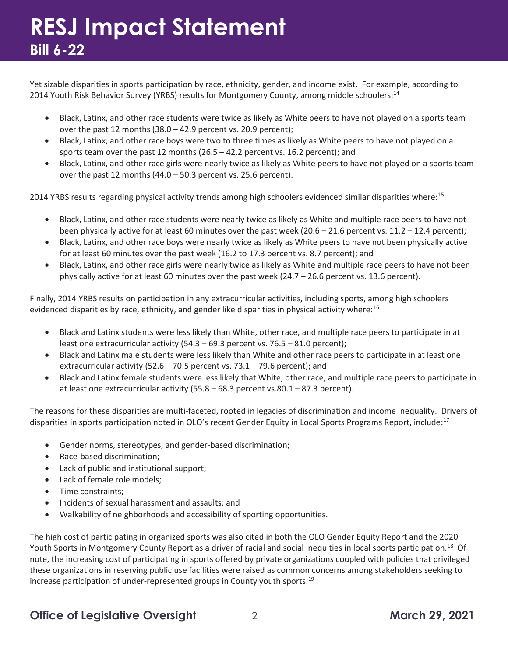Yet sizable disparities in sports participation by race, ethnicity, gender, and income exist. For example, according to 2014 Youth Risk Behavior Survey (YRBS) results for Montgomery County, among middle schoolers:<sup>14</sup>

- Black, Latinx, and other race students were twice as likely as White peers to have not played on a sports team over the past 12 months (38.0 – 42.9 percent vs. 20.9 percent);
- Black, Latinx, and other race boys were two to three times as likely as White peers to have not played on a sports team over the past 12 months (26.5 – 42.2 percent vs. 16.2 percent); and
- over the past 12 months (44.0 50.3 percent vs. 25.6 percent). Black, Latinx, and other race girls were nearly twice as likely as White peers to have not played on a sports team

2014 YRBS results regarding physical activity trends among high schoolers evidenced similar disparities where:<sup>15</sup>

- Black, Latinx, and other race students were nearly twice as likely as White and multiple race peers to have not been physically active for at least 60 minutes over the past week (20.6 – 21.6 percent vs. 11.2 – 12.4 percent);
- for at least 60 minutes over the past week (16.2 to 17.3 percent vs. 8.7 percent); and Black, Latinx, and other race boys were nearly twice as likely as White peers to have not been physically active
- Black, Latinx, and other race girls were nearly twice as likely as White and multiple race peers to have not been physically active for at least 60 minutes over the past week (24.7 – 26.6 percent vs. 13.6 percent).

 Finally, 2014 YRBS results on participation in any extracurricular activities, including sports, among high schoolers evidenced disparities by race, ethnicity, and gender like disparities in physical activity where:<sup>16</sup>

- Black and Latinx students were less likely than White, other race, and multiple race peers to participate in at least one extracurricular activity (54.3 – 69.3 percent vs. 76.5 – 81.0 percent);
- Black and Latinx male students were less likely than White and other race peers to participate in at least one extracurricular activity (52.6 – 70.5 percent vs. 73.1 – 79.6 percent); and
- Black and Latinx female students were less likely that White, other race, and multiple race peers to participate in at least one extracurricular activity (55.8 – 68.3 percent vs.80.1 – 87.3 percent).

 The reasons for these disparities are multi-faceted, rooted in legacies of discrimination and income inequality. Drivers of disparities in sports participation noted in OLO's recent Gender Equity in Local Sports Programs Report, include:<sup>17</sup>

- Gender norms, stereotypes, and gender-based discrimination;
- Race-based discrimination;
- Lack of public and institutional support;
- Lack of female role models;
- Time constraints;
- Incidents of sexual harassment and assaults; and
- Walkability of neighborhoods and accessibility of sporting opportunities.

 The high cost of participating in organized sports was also cited in both the OLO Gender Equity Report and the 2020 Youth Sports in Montgomery County Report as a driver of racial and social inequities in local sports participation.<sup>18</sup> Of note, the increasing cost of participating in sports offered by private organizations coupled with policies that privileged these organizations in reserving public use facilities were raised as common concerns among stakeholders seeking to increase participation of under-represented groups in County youth sports.<sup>19</sup>

#### Office of Legislative Oversight 2 2 March 29, 2021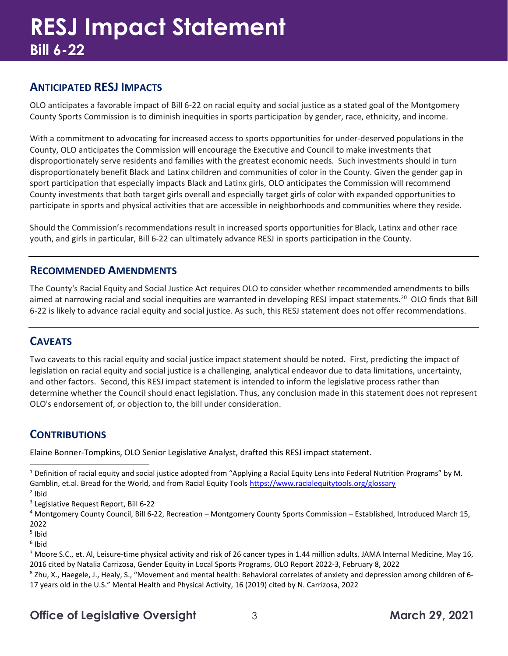#### ANTICIPATED RESJ IMPACTS

 OLO anticipates a favorable impact of Bill 6-22 on racial equity and social justice as a stated goal of the Montgomery County Sports Commission is to diminish inequities in sports participation by gender, race, ethnicity, and income.

 With a commitment to advocating for increased access to sports opportunities for under-deserved populations in the County, OLO anticipates the Commission will encourage the Executive and Council to make investments that disproportionately serve residents and families with the greatest economic needs. Such investments should in turn disproportionately benefit Black and Latinx children and communities of color in the County. Given the gender gap in sport participation that especially impacts Black and Latinx girls, OLO anticipates the Commission will recommend County investments that both target girls overall and especially target girls of color with expanded opportunities to participate in sports and physical activities that are accessible in neighborhoods and communities where they reside.

 Should the Commission's recommendations result in increased sports opportunities for Black, Latinx and other race youth, and girls in particular, Bill 6-22 can ultimately advance RESJ in sports participation in the County.

#### RECOMMENDED AMENDMENTS

 The County's Racial Equity and Social Justice Act requires OLO to consider whether recommended amendments to bills aimed at narrowing racial and social inequities are warranted in developing RESJ impact statements.<sup>20</sup> OLO finds that Bill 6-22 is likely to advance racial equity and social justice. As such, this RESJ statement does not offer recommendations.

#### **CAVEATS**

 Two caveats to this racial equity and social justice impact statement should be noted. First, predicting the impact of legislation on racial equity and social justice is a challenging, analytical endeavor due to data limitations, uncertainty, and other factors. Second, this RESJ impact statement is intended to inform the legislative process rather than determine whether the Council should enact legislation. Thus, any conclusion made in this statement does not represent OLO's endorsement of, or objection to, the bill under consideration.

#### **CONTRIBUTIONS**

Elaine Bonner-Tompkins, OLO Senior Legislative Analyst, drafted this RESJ impact statement.

 $^1$  Definition of racial equity and social justice adopted from "Applying a Racial Equity Lens into Federal Nutrition Programs" by M. Gamblin, et.al. Bread for the World, and from Racial Equity Tools <https://www.racialequitytools.org/glossary> <sup>2</sup> Ibid

<sup>3</sup> Legislative Request Report, Bill 6-22

<sup>4</sup> Montgomery County Council, Bill 6-22, Recreation – Montgomery County Sports Commission – Established, Introduced March 15, 2022

<sup>5</sup> Ibid

<sup>6</sup> Ibid

<sup>7</sup> Moore S.C., et. Al, Leisure-time physical activity and risk of 26 cancer types in 1.44 million adults. JAMA Internal Medicine, May 16, 2016 cited by Natalia Carrizosa, Gender Equity in Local Sports Programs, OLO Report 2022-3, February 8, 2022 <sup>8</sup> Zhu, X., Haegele, J., Healy, S., "Movement and mental health: Behavioral correlates of anxiety and depression among children of 6-17 years old in the U.S." Mental Health and Physical Activity, 16 (2019) cited by N. Carrizosa, 2022